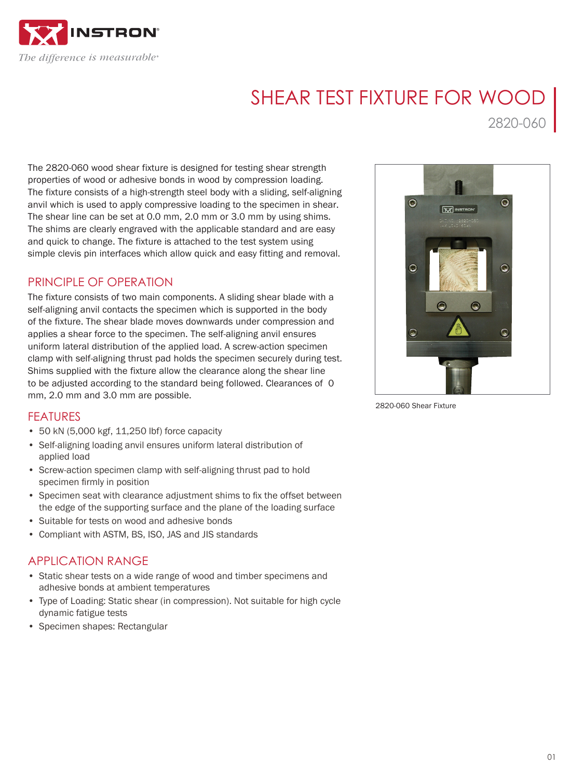

# SHEAR TEST FIXTURE FOR WOOD

2820-060

The 2820-060 wood shear fixture is designed for testing shear strength properties of wood or adhesive bonds in wood by compression loading. The fixture consists of a high-strength steel body with a sliding, self-aligning anvil which is used to apply compressive loading to the specimen in shear. The shear line can be set at 0.0 mm, 2.0 mm or 3.0 mm by using shims. The shims are clearly engraved with the applicable standard and are easy and quick to change. The fixture is attached to the test system using simple clevis pin interfaces which allow quick and easy fitting and removal.

## PRINCIPLE OF OPERATION

The fixture consists of two main components. A sliding shear blade with a self-aligning anvil contacts the specimen which is supported in the body of the fixture. The shear blade moves downwards under compression and applies a shear force to the specimen. The self-aligning anvil ensures uniform lateral distribution of the applied load. A screw-action specimen clamp with self-aligning thrust pad holds the specimen securely during test. Shims supplied with the fixture allow the clearance along the shear line to be adjusted according to the standard being followed. Clearances of 0 mm, 2.0 mm and 3.0 mm are possible.



2820-060 Shear Fixture

### FEATURES

- 50 kN (5,000 kgf, 11,250 lbf) force capacity
- Self-aligning loading anvil ensures uniform lateral distribution of applied load
- Screw-action specimen clamp with self-aligning thrust pad to hold specimen firmly in position
- Specimen seat with clearance adjustment shims to fix the offset between the edge of the supporting surface and the plane of the loading surface
- Suitable for tests on wood and adhesive bonds
- Compliant with ASTM, BS, ISO, JAS and JIS standards

#### APPLICATION RANGE

- Static shear tests on a wide range of wood and timber specimens and adhesive bonds at ambient temperatures
- Type of Loading: Static shear (in compression). Not suitable for high cycle dynamic fatigue tests
- Specimen shapes: Rectangular